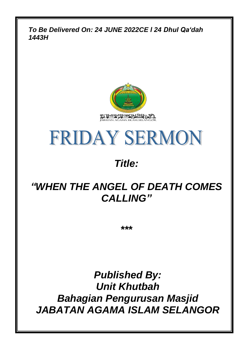*To Be Delivered On: 24 JUNE 2022CE l 24 Dhul Qa'dah 1443H*





## *Title:*

## *"WHEN THE ANGEL OF DEATH COMES CALLING"*

*\*\*\**

*Published By: Unit Khutbah Bahagian Pengurusan Masjid JABATAN AGAMA ISLAM SELANGOR*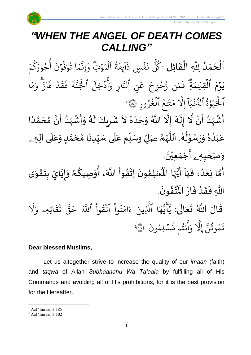*Jabatan Agama Islam Selangor*

# *"WHEN THE ANGEL OF DEATH COMES CALLING"*

ا<br>إ نة<br>ا اَلْحَمْدُ لِلَّهِ الْقَائِلِ : كُلَّ نَفْسٍ ذَآيِقَةُ ٱلْمَوۡتِّ وَإِنَّمَا تُوَفَّوۡنَ أَجُورَكُمۡ و<br>و ់<br>ត  $\overline{\phantom{a}}$ ֦֧֦֧֦֧֦֧֦֦֦֜֜֜֜֜֜֜֜<br>**֦֘**  $\overline{\phantom{a}}$  $\frac{1}{2}$ ֦֧֦֧֦֧֦֧֦֧֦֧֦֧֜֜֜֜֓֓<br>**֡**  $\frac{1}{2}$ و ِ<br>پر جُورَ و و أ  $\ddot{\cdot}$ ن و  $\ddot{\phantom{0}}$ بر<br>• ف ِ<br>م و ا ت لا ر<br>^ م ِ<br>په وْتِ وَإِذْ  $\frac{1}{2}$  $\frac{1}{2}$ م ٱل ة ہ<br>1 لا  $\ddot{\Omega}$ ِ<br>غِ بر<br>: آ ا فَسِ ذَ  $\ddot{\cdot}$  $\ddot{\cdot}$ ن ور<br>کا ُك ا ِ<br>م بر<br>م  $\frac{1}{\alpha}$ و ان<br>م از  $\ddot{\cdot}$ ف د ہ<br>ا  $\ddot{\Omega}$ ق  $\ddot{\cdot}$ ف  $\ddot{\mathbf{r}}$ ة ِ<br>په ن<br>م ِ<br>د ہ<br>\ الج ر<br>آ دَخِلَ  $\ddot{\phantom{0}}$ و أ  $\frac{1}{\alpha}$ ِ و ار ِ<br>په نِ النَّ ِ<br>م ع  $\tilde{ }$ ن زُحۡزِحَ  $\frac{1}{2}$ بر  $\frac{1}{2}$ ء<br>م  $\ddot{\cdot}$ ف ةِِۖ ِ<br>پُـلمَہَ القِيَد ہ<br>1  $\frac{1}{2}$ م و  $\ddot{\phantom{0}}$  $\tilde{\cdot}$ ي تَـٰعُ ٱلۡغُرُورِ ل لا ۔<br>ا و<br>م ت  $\frac{1}{2}$ ر<br>م ىد<br>1 َِّل إ  $\tilde{1}$ ا  $\frac{1}{2}$ جر<br>نبي  $\ddot{\cdot}$ و<br>س رة الدَّ لا  $\frac{1}{1}$ بر ِ<br>د ر<br>1 الْحَيَوْةُ الدَّنْيَا إِلاَّ مَتَنْعُ الْغُرُورِ ۞ ' -<br>9<br>1 اَّ مَّذَا لَّا لَمْ إِلَهَ إِلَّا اللَّهُ وَحْدَهُ لاَ شَرِيكَ لَهُ وَأَشْهَدُ أَنَّ مُحَمَّدًا ِ<br>ر ْ े<br>न् ۔<br>ا ំ<br>• े<br>नि ં<br>ત  $\tilde{\mathbf{r}}$  $\frac{1}{2}$ ً<br>أ ل<br>م ้<br>ว ا<br>م<br>•  $\sum_{i=1}^{n}$  $\frac{1}{1}$ ر<br>زن ْ  $\sum_{i=1}^{n}$  $\tilde{\cdot}$ ,<br>A َ ِ  $\ddot{\phantom{0}}$  $\ddot{\phantom{0}}$  $\frac{2}{\lambda}$ َ<br>ا  $\tilde{\cdot}$ ا<br>الم عَبْدُهُ وَرَسُوْلُهُ. اَللَّهُمَّ صَلِّ وسَلِّم عَلَى سَيِّدِنَا مُحَمَّدٍ وَعَلَى آلِه<sub>ِ ــُ</sub>  $\overline{\mathbf{1}}$ ِ<br>م  $\tilde{\cdot}$ <u>لم</u> لة<br>م ้<br>ว  $\ddot{\phantom{0}}$  $\frac{1}{1}$ َ<br>آ .<br>م  $\tilde{\mathbf{i}}$ لة<br>م ,<br>, سنة<br>ا ً<br>آ ر<br>د<br>ام  $\ast$ י<br>י ,<br>,  $\ddot{\phantom{0}}$  $\tilde{\cdot}$  $\frac{2}{\lambda}$ ,<br>( ْ ِ<br>م و*َص<sub>َ</sub>حْبِهِ <sub>ۦ</sub>* أَجْمَعِيْنَ. ْ  $\ddot{\phantom{0}}$ ់<br>(  $\tilde{a}$  $\frac{1}{2}$ -<br>أَمَّا بَعْدُ، فَيَا أَيُّهَا الْمُسْلِمُونَ اِتَّ  $\frac{1}{1}$  $\ddot{\cdot}$ .<br>و ំ<br>រ  $\ddot{\cdot}$ لة<br>م ِ<br>پنج ا<br>به<br>:  $\ddot{\phantom{0}}$ ,<br>ለ أَيُّهَا الْمُسْلِمُونَ اِتَّقُواْ اللَّهَ، أُوْصِيكُمْ وَإِيَّايَ بِتَقْوَى ِ<br>پاس <sup>ب</sup>ر<br>•  $\sum_{i=1}^{n}$  $\tilde{\phantom{a}}$ ֦֧<u>֦</u>  $\ddot{\phantom{0}}$ **ٍ**<br>-ا<br>ا  $\frac{1}{2}$  $\tilde{\cdot}$  $\frac{3}{2}$ ֦֧֦֧֦  $\frac{3}{2}$ ֦֧֦֧֦֧֦֧֦֧֦֧֦֜֓֟  $\frac{1}{2}$ .  $\ddot{\phantom{0}}$ ؾڤۏڹؘ  $\frac{1}{2}$ ا<br>ایر<br>جو ه<br>پ اللّٰهِ فَقَدْ فَازَ الْمُ  $\ddot{\cdot}$  $\frac{1}{2}$ ْ  $\frac{1}{2}$  $\frac{1}{2}$ 

قَالَ اللَّهُ تَعَالَى: ِ<br>الج  $\frac{1}{2}$  $\ddot{\phantom{0}}$  $\ddot{\mathbf{r}}$ ر<br>1 َّل  $\frac{1}{\alpha}$ اتِهِۦ و  $\ddot{\mathbf{r}}$ ق ت لا ِ<br>په قة  $\overline{\phantom{a}}$ ح ہ<br>آک قُوا اللَّهَ ْ بِ لا ِ<br>په نُوا اڌّ <u>ہ</u><br>ا ل ِ<br>م ام ر<br>ء ء ِينَ یہ<br>۱ ا الَّذِ ِ<br>م ه و<br>د سَ<br>ڊ -<br>ج  $\overline{\phantom{a}}$ ِ<br>د بد  $\ddot{\cdot}$ سُلِمُونَ و  $\ddot{\phantom{0}}$ و<br>م نتُم مَّ لا ِ<br>ج أ ِ<br>م و ىد<br>أ َِّل إ ِ<br>په تَمُوثُنَّ إِلَّا وَأَنتُم مُّسۡلِمُونَ ۞ لا لا 2

### **Dear blessed Muslims,**

Let us altogether strive to increase the quality of our *imaan* (faith) and *taqwa* of Allah *Subhaanahu Wa Ta'aala* by fulfilling all of His Commands and avoiding all of His prohibitions, for it is the best provision for the Hereafter.

<sup>1</sup> Aal 'Imraan 3:185

<sup>2</sup> Aal 'Imraan 3:102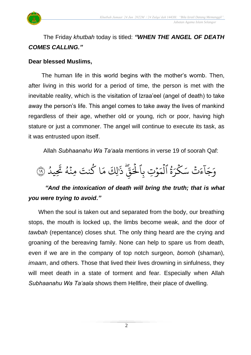

### The Friday *khutbah* today is titled: *"WHEN THE ANGEL OF DEATH COMES CALLING."*

#### **Dear blessed Muslims,**

 The human life in this world begins with the mother's womb. Then, after living in this world for a period of time, the person is met with the inevitable reality, which is the visitation of Izraa'eel (angel of death) to take away the person's life. This angel comes to take away the lives of mankind regardless of their age, whether old or young, rich or poor, having high stature or just a commoner. The angel will continue to execute its task, as it was entrusted upon itself.

Allah *Subhaanahu Wa Ta'aala* mentions in verse 19 of soorah Qaf:



### "And the intoxication of death will bring the truth; that is what *you were trying to avoid."*

 When the soul is taken out and separated from the body, our breathing stops, the mouth is locked up, the limbs become weak, and the door of *tawbah* (repentance) closes shut. The only thing heard are the crying and groaning of the bereaving family. None can help to spare us from death, even if we are in the company of top notch surgeon, *bomoh* (shaman), *imaam*, and others. Those that lived their lives drowning in sinfulness, they will meet death in a state of torment and fear. Especially when Allah *Subhaanahu Wa Ta'aala* shows them Hellfire, their place of dwelling.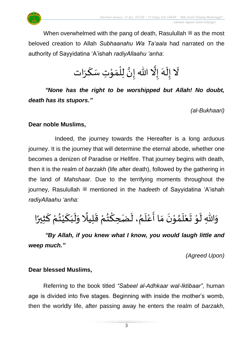When overwhelmed with the pang of death, Rasulullah  $\ddot{\mathcal{F}}$  as the most beloved creation to Allah *Subhaanahu Wa Ta'aala* had narrated on the authority of Sayyidatina 'A'ishah *radiyAllaahu 'anha*:

> $\tilde{\mathbf{r}}$ لَا إِلَهَ إِلَّا الله إِنَّ لِلْمَوْتِ سَكَرَات  $\tilde{\mathbf{r}}$ ે<br>ત تة<br>ا ت<br>• ٝ<br>ا  $\frac{1}{2}$ َ

*"None has the right to be worshipped but Allah! No doubt, death has its stupors."*

*(al-Bukhaari)*

#### **Dear noble Muslims,**

 Indeed, the journey towards the Hereafter is a long arduous journey. It is the journey that will determine the eternal abode, whether one becomes a denizen of Paradise or Hellfire. That journey begins with death, then it is the realm of *barzakh* (life after death), followed by the gathering in the land of *Mahshaar*. Due to the terrifying moments throughout the journey, Rasulullah <sup>2</sup> mentioned in the *hadeeth* of Sayyidatina 'A'ishah *radiyAllaahu 'anha*:

وَاللّٰهِ لَوْ تَعْلَمُوْنَ مَا أَعْلَمُ، لَضَحِكْتُمْ قَلِيلًا وَلَبَكَيْتُمْ كَثِيرًا  $\frac{1}{2}$  $\frac{1}{2}$ ์<br>-<br>-ْ  $\frac{1}{2}$ ْ َ  $\frac{1}{2}$  $\tilde{\mathbf{r}}$  $\frac{1}{2}$ ً<br>أ  $\frac{1}{2}$ ْ  $\frac{9}{11}$ ؚ<br>م  $\tilde{\mathbf{r}}$  $\frac{1}{2}$  $\frac{1}{1}$ ْ  $\frac{1}{2}$  $\frac{1}{2}$  $\ddot{\phantom{0}}$ ់<br>្ }<br>ለ  $\overline{\phantom{a}}$ ំ<br>រ  $\ddot{\phantom{0}}$ ֦֦֝<br>**֝**  $\tilde{\mathbf{r}}$ 

*"By Allah, if you knew what I know, you would laugh little and weep much."* 

*(Agreed Upon)*

### **Dear blessed Muslims,**

Referring to the book titled *"Sabeel al-Adhkaar wal-Iktibaar"*, human age is divided into five stages. Beginning with inside the mother's womb, then the worldly life, after passing away he enters the realm of *barzakh*,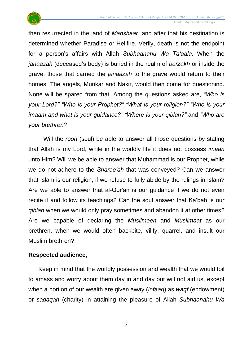

then resurrected in the land of *Mahshaar*, and after that his destination is determined whether Paradise or Hellfire. Verily, death is not the endpoint for a person's affairs with Allah *Subhaanahu Wa Ta'aala*. When the *janaazah* (deceased's body) is buried in the realm of *barzakh* or inside the grave, those that carried the *janaazah* to the grave would return to their homes. The angels, Munkar and Nakir, would then come for questioning. None will be spared from that. Among the questions asked are, *"Who is your Lord?" "Who is your Prophet?" "What is your religion?" "Who is your imaam and what is your guidance?" "Where is your qiblah?"* and *"Who are your brethren?"*

Will the *rooh* (soul) be able to answer all those questions by stating that Allah is my Lord, while in the worldly life it does not possess *imaan* unto Him? Will we be able to answer that Muhammad is our Prophet, while we do not adhere to the *Sharee'ah* that was conveyed? Can we answer that Islam is our religion, if we refuse to fully abide by the rulings in Islam? Are we able to answer that al-Qur'an is our guidance if we do not even recite it and follow its teachings? Can the soul answer that Ka'bah is our *qiblah* when we would only pray sometimes and abandon it at other times? Are we capable of declaring the *Muslimeen* and *Muslimaat* as our brethren, when we would often backbite, vilify, quarrel, and insult our Muslim brethren?

### **Respected audience,**

 Keep in mind that the worldly possession and wealth that we would toil to amass and worry about them day in and day out will not aid us, except when a portion of our wealth are given away (*infaaq*) as *waqf* (endowment) or *sadaqah* (charity) in attaining the pleasure of Allah *Subhaanahu Wa* 

4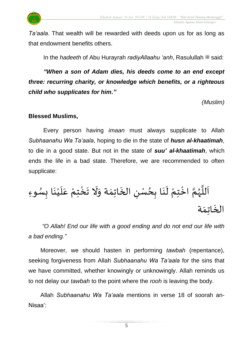

*Ta'aala*. That wealth will be rewarded with deeds upon us for as long as that endowment benefits others.

In the *hadeeth* of Abu Hurayrah *radivAllaahu 'anh*, Rasulullah  $\ddot{\mathcal{Z}}$  said:

*"When a son of Adam dies, his deeds come to an end except three: recurring charity, or knowledge which benefits, or a righteous child who supplicates for him."* 

*(Muslim)*

#### **Blessed Muslims,**

Every person having *imaan* must always supplicate to Allah *Subhaanahu Wa Ta'aala*, hoping to die in the state of *husn al-khaatimah*, to die in a good state. But not in the state of *suu' al-khaatimah*, which ends the life in a bad state. Therefore, we are recommended to often supplicate:

وِء ِس ا ب َ ن ْ ي َ ل َ ع ْ ِم ت ْ خ َ ت َ َّل َ ة و َ ِم ات َ الخ ِ ن سْ ِح ا ب َ ن َ ل ْ ِم ت ْ اخ ا م ه ا لل َ ا ة َ ِم ات َ الخ

*"O Allah! End our life with a good ending and do not end our life with a bad ending."*

Moreover, we should hasten in performing *tawbah* (repentance), seeking forgiveness from Allah *Subhaanahu Wa Ta'aala* for the sins that we have committed, whether knowingly or unknowingly. Allah reminds us to not delay our *tawbah* to the point where the *rooh* is leaving the body.

Allah *Subhaanahu Wa Ta'aala* mentions in verse 18 of soorah an-Nisaa':

5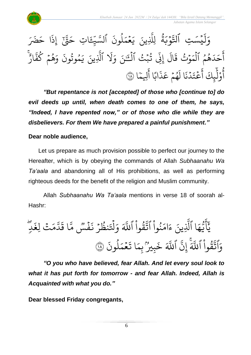

#### لا ة  $\tilde{\cdot}$ و د<br>وب  $\ddot{\phantom{0}}$ ِ<br>په وو يسَتِ ٱلتَّ  $\ddot{\phantom{0}}$  $\tilde{1}$ ل  $\frac{1}{c}$ وَلَيْسَتِ ٱلتَّوَْبَةُ لِلَّذِينَ يَعْمَلُونَ ٱلسَّيِّءَ لمونَ و<br>ا  $\frac{1}{2}$ ح<br>مم  $\frac{1}{2}$  $\tilde{\cdot}$ ِ<br>لَّذِينَ يَ لَِّل ء<br>قَاتِ حَقَّ إِذَا حَضَرَ  $\ddot{\cdot}$ ِ<br>قَبِّ إِذَ تَی  $\overline{\phantom{a}}$ اتِ حَـ :<br>۱ ارٌ بر<br>• هُمۡ كَفَّ و  $\frac{1}{2}$ و<br>ج ر<br>م و  $\ddot{\cdot}$ مُوتُونَ لا و  $\tilde{\cdot}$ ي ِينَ یہ<br>۱ ٱَّل ر<br>1 َّل  $\frac{1}{2}$ لَّ قُبْتُ ٱلْقَ<sub>ٰٓ</sub>نَ وَ ہ<br>1 و  $\ddot{\phantom{0}}$ لا بہ<br>ج ِّن إ  $\tilde{1}$ ال  $\ddot{\phantom{0}}$ ق ت و و  $\ddot{\phantom{0}}$  $\frac{1}{2}$ هُمُ الْمَ ہ<br>ا لا لو<br>لا َ د  $\tilde{\phantom{a}}$ ح ِ<br>ج أ ا بة<br>م لِيمَ ِ<br>ج ا أ ً<br>ٌ∕ اب  $\ddot{\cdot}$ ذ ِ<br>م هُمۡ عَـ  $\frac{1}{2}$ و<br>م  $\tilde{t}$ ا ل  $\ddot{\cdot}$ دُ ذَ<br>لماذ ہ<br>ا  $\ddot{\phantom{0}}$ ت ع  $\frac{1}{2}$ ِ<br>ج أ ِ<br>عِلَمَ ِرِ<br>ا آَوْلَيِكَ آَعْتَدُنَا لَهُمْ عَذَابًا آلِيمًا ۞ ْ و

*"But repentance is not [accepted] of those who [continue to] do evil deeds up until, when death comes to one of them, he says, "Indeed, I have repented now," or of those who die while they are disbelievers. For them We have prepared a painful punishment."*

### **Dear noble audience,**

Let us prepare as much provision possible to perfect our journey to the Hereafter, which is by obeying the commands of Allah *Subhaanahu Wa Ta'aala* and abandoning all of His prohibitions, as well as performing righteous deeds for the benefit of the religion and Muslim community.

Allah *Subhaanahu Wa Ta'aala* mentions in verse 18 of soorah al-Hashr:

ِۖ د ٖ َ لِغ تۡ َ م َّ د َ ا ق َّ س م ٞ ۡ ف َ ن ۡ ر ل نظ َ ۡ تل َ و ََّ ٱَّلل ْ وا ل ق َّ ٱت ْ وا ل ن َ ام َ ء ِينَ َّ ا ٱَّل َ ه ُّ ي َ أ ََٰٓ ي َ ون ل ل َ م ۡ ع َ ا ت َ ِم ب ُۢ ل ِي ب َ خ ََّ ٱَّلل َّ ِن إ ََّ ٱَّلل ْ وا ل ق َّ ٱت و ١٨ َ

*"O you who have believed, fear Allah. And let every soul look to what it has put forth for tomorrow - and fear Allah. Indeed, Allah is Acquainted with what you do."*

**Dear blessed Friday congregants,**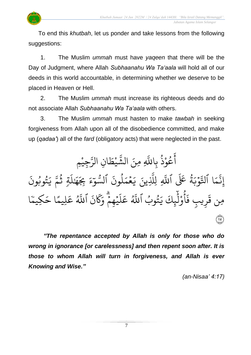

1. The Muslim *ummah* must have *yaqeen* that there will be the Day of Judgment, where Allah *Subhaanahu Wa Ta'aala* will hold all of our deeds in this world accountable, in determining whether we deserve to be placed in Heaven or Hell.

2. The Muslim *ummah* must increase its righteous deeds and do not associate Allah *Subhaanahu Wa Ta'aala* with others.

3. The Muslim *ummah* must hasten to make *tawbah* in seeking forgiveness from Allah upon all of the disobedience committed, and make up (*qadaa'*) all of the *fard* (obligatory acts) that were neglected in the past.

جِيْمِ **ٔ** ِ<br>سَ ِن الر ا  $\frac{1}{2}$ ط ي **ٔ** لنا<br>په لَّهِ مِنَ الشَّ عُوْذُ بِاللَّهِ لا **ٔ** و<br>م ِ<br>ج أ  $\ddot{\cdot}$ تُوبُونَ و لا  $\tilde{\cdot}$ ي ى<br>م تم ثُمَّ<br>تَحَمَّ و<br>م ر<br>آ  $\uplambda$ َٰ ِرِ ه  $\frac{1}{2}$ ِِب  $\tilde{\epsilon}$ ،<br>ع  $\frac{1}{\alpha}$ و و<br>س السَّ  $\ddot{\cdot}$ لمونَ و<br>ا  $\frac{1}{2}$ ح<br>مم  $\frac{1}{2}$  $\tilde{\cdot}$ ي ِينَ ى<br>ا ِ لَِّل بر<br>آ ةُ عَلَى ٱللَّه*ِ* لا ِ<br>پ و د<br>وب  $\ddot{\phantom{0}}$ ِ<br>په ا التَّ  $\frac{1}{2}$ بر<br>م ِ<br>په ِن إ ل وب ت لا  $\tilde{\cdot}$ ِ<br>ياڪ يَـ ِ<br>ا ل و أ ُ<br>. و<br>و  $\ddot{\cdot}$ رِيبٍ فَ  $\ddot{\Omega}$ مِن قَرِيبٍ فَآوْلِيِكَ يَتُوبُ اللَّهُ عَلَيْهِمْ وَكَانَ اللَّهُ عَلِيمًا حَكِيمًا ֦֧֦֝<br>֧֝ ِكيم  $\tilde{\phantom{0}}$ ا ح  $\approx$ لِيم ِ<br>م ع ِو<br>آ اللَّهُ  $\ddot{\cdot}$ ن ر<br>م َك ِ<br>م شُهِمْ وَ قا<br>م ؚ<br>ۣ ر<br>آ  $\mathcal{L}$ ِ<br>م ع ِو<br>ا اللَّهُ بی<br>۱۷<br>ر<sub>یمو</sub>ر

*"The repentance accepted by Allah is only for those who do wrong in ignorance [or carelessness] and then repent soon after. It is those to whom Allah will turn in forgiveness, and Allah is ever Knowing and Wise."*

*(an-Nisaa' 4:17)*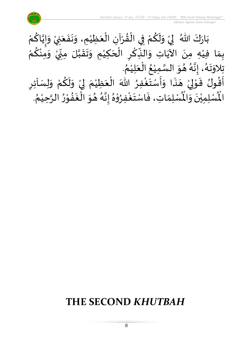

# **THE SECOND** *KHUTBAH*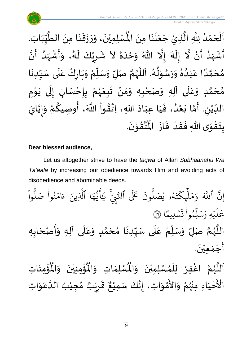

#### **Dear blessed audience,**

Let us altogether strive to have the *taqwa* of Allah *Subhaanahu Wa Ta'aala* by increasing our obedience towards Him and avoiding acts of disobedience and abominable deeds.

ْ وا و<br>ا نُواْ صَلُّ <u>ہ</u><br>ا ل ِ<br>م ام  $\tilde{\epsilon}$ ء ِينَ یہ<br>۱ ا الَّذِ ِ<br>م ه و<br>د سَ<br>ڊ ِ<br>ج  $\sqrt{2}$ َٰ ِ سَّيِّ يَا<br>تَّـمِّي يَا نَ عَلَى ٱلنَّ ون و<br>ا و<br>4و **يُصَ**لُّ ل و<br>لم  $\ddot{\phantom{0}}$ ت ر<br>م ِك ئ ہر<br>ا  $\mathcal{L}$ ِ<br>م ے<br>م  $\frac{1}{c}$ و ِ<br>آک اللَّهَ ِ<br>په إِن ا  $\frac{2}{3}$ ن*ش*ليمً  $\ddot{\phantom{0}}$  $\ddot{\cdot}$ ت ؙ<br>
<sup>ٔ</sup> وا ِم لو ں<br>آ ل ِ<br>م ر<br>سد  $\frac{1}{c}$ يَّه وَ,  $\ddot{\phantom{0}}$ ر<br>آ عَلَيْهِ وَسَلِّمُواْ تَسْلِيمًا ۞ ا<br>ا اللَّهُمَّ صَلِّ وَسَلِّمْ عَلَى سَيِّدِنَا مُحَمَّدٍ وَعَلَى آلِهِ وَأَصْحَابِهِ  $\overline{\phantom{a}}$  $\frac{1}{2}$  $\tilde{\cdot}$  $\frac{1}{1}$ ِ<br>م  $\tilde{\cdot}$ <u>ل</u> ت<br>م  $\overline{\phantom{a}}$  $\frac{1}{2}$  $\ddot{\phantom{0}}$  $\frac{1}{1}$ ِ<br>أ .<br>م ْ ر.<br>م  $\frac{1}{2}$  $\frac{1}{2}$ ن<br>م ,<br>,  $\ddot{\phantom{0}}$ أَجْمَعِيْنَ. ّٰ  $\frac{1}{2}$ ֦֧֦֧֦֧<u>֦</u>  $\frac{1}{2}$ 

ؙۊؙٝڡؚڹؘٵتؚ  $\ddot{\phantom{0}}$ ់<br>:  $\mathbf{r}^{\circ}$ ُؤْمِنِيْنَ ۖ وَالْمُ  $\tilde{\cdot}$  $\ddot{\phantom{0}}$ ْ ់<br>:  $\mathbf{r}^{\circ}$ ِ<br>لْمُ*سْ*لِمَاتِ وَالْمُ  $\frac{1}{2}$  $\frac{1}{\sqrt{2}}$ ِ<br>اَللَّهُمَّ اغْفِرْ لِلْمُسْلِمِيْنَ وَالْمُ  $\frac{1}{2}$  $\ddot{\phantom{0}}$ ់<br>រ ,<br>ለ ֦֧֦֧֦֧֦֧֦֧֦֧֦֧֜֜֜֓֓<br>֧֝֜֜֜֜֜֜֜֜֜֜֜֜֜֜֞֟ ْ ن<br>م ,<br>, ا<br>آ  $\mathbf{r}$ أُحْيَاءِ َ ֦֧֦֧֦֧<u>֦</u> ـــ<br>م<br>م الْأَحْيَاءِ مِنْهُمْ وَالأَمْوَاتِ، إِنَّكَ سَمِيْعٌ قَرِيْبٌ مُجِيْبُ ال ْ د<br>در ْ  $\frac{1}{2}$ ់<br>? ں<br>ج  $\frac{1}{2}$ , ់<br>រ }<br>ጎ ه<br>**د ا** ي ر ق <u>ر</u>  $\frac{1}{2}$  $\frac{1}{2}$ ، إِنَّكَ سَمِيْعٌ قَرِيْبٌ مُجِيْبُ الدَّعَوَاتِ ْ اتا  $\ddot{\ }$ ِ<br>م ان<br>ا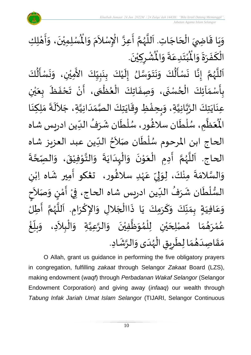

#### وَيَا قَاضِيَ الْحَاجَاتِ. اَللَّهُمَّ أَعِزَّ الْإِسْلاَمَ وَالْمُسْلِمِيْنَ، وَأَهْلِكِ  $\overline{\phantom{a}}$ ֦֧֦֧֦֧֦֧֦֧֦֧֦֧֦֧<br>**֧**  $\overline{a}$  $\ddot{\ddot{\mathbf{z}}}$  $\ddot{\phantom{0}}$ י<br>**י**  $\ddot{\cdot}$  $\frac{1}{2}$  $\ddot{\phantom{0}}$ ْ اَللَّهُمَّ أَعِزَّ الْإِسْلاَمَ وَالْمُ  $\frac{1}{2}$  $\frac{1}{2}$  $\sim$ ֦֧֦֧֦֧֦֧֦֧֦֧֦֧֦֧֧֦֧֜֜֓֓֜֜֜֓֓<br>**֡** بة  $\frac{1}{2}$ ن<br>م  $\frac{1}{2}$ ا<br>ا  $\overline{\phantom{a}}$ .  $\ddot{\phantom{0}}$ ٞۺ۠ڔڮؽۨڹؘ '<br>ا <u>ر</u> ْ  $\ddot{\text{r}}$ ُبْتَدِعَةً وَالْمُ  $\frac{1}{2}$  $\frac{1}{2}$ .<br>م  $\ddot{\ }$ ْ  $\boldsymbol{r}$ الْكَفَرَةَ وَالْمُ  $\frac{1}{2}$  $\ddot{\phantom{0}}$  $\frac{1}{2}$  $\ddot{\cdot}$ َ بر<br>1  $\frac{1}{2}$ ِ<br>ج -<br>بن<br>بن

ِ<br>اَللَّهُمَّ إِنَّا نَسْأَلُكَ وَنَتَوَسَّلُ إِلَيْكَ بِنَبِيِّكَ الأَمِيْنِ، وَنَسْأَلُكَ י<br>ו  $\ddot{\phantom{0}}$  $\frac{1}{2}$ ْ  $\frac{1}{1}$  $\frac{1}{2}$  $\frac{1}{2}$  $\ddot{\phantom{0}}$ <u>ر</u><br>-់<br>រ  $\tilde{\mathbf{r}}$  $\frac{1}{2}$ سه<br>ما<br>مرا  $\frac{1}{2}$  $\ddot{\phantom{0}}$  $\ddot{\phantom{0}}$  $\frac{1}{2}$  $\ddot{\ddot{\cdot}}$  $\ddot{\cdot}$ انا  $\frac{1}{2}$ ن<br>م  $\frac{1}{2}$ ا<br>آ ً<br>آ ֦֧֦֧֦֧֦֧<br>֧֝֜֜֜֜ .<br>بِأَسْمَآئِكَ الْحُسْنَى، وَصِفَاتِكَ الْعُظُمَى، أَنْ تَحْفَظَ بِعَيْنِ  $\frac{1}{2}$  $\frac{1}{2}$ <u>ر</u> ْ ي  $\frac{1}{2}$  $\frac{1}{\sqrt{2}}$  $\ddot{\bullet}$  $\frac{1}{2}$ ْ  $\sum_{i=1}^{n}$ ั<br>ก ֦֧֦֧֦֧֦֧֦֧֦֧֦֧֦֧֦֧֦֧֦֧֦֧֦֧֧֦֧֝֝֟֓֓֜֓֟֓֓<br>**֧** ,<br>∙ ֦֧֦֧֦֧֦֧֦֧֦֧֦֧֦֧֜֜֜֓֓<br>֧ׅׅׅ֝֜֜֜֜֜֜֜֜֜֜֜֜֜֜֝֜֜֬֟  $\ddot{\cdot}$  $\tilde{\cdot}$  $\ddot{\phantom{0}}$  $\frac{1}{2}$  $\ddot{\cdot}$ ِ<br>عِنَايَتِكَ الرَّبَّانِيَّةِ، وَبِحِفْظِ وِقَايَتِكَ الصَّمَدَانِيَّةِ، جَلاَلَةَ مَلِكِنَا ِ<br>ا  $\sim$ اتا<br>ا  $\frac{1}{1}$  $\frac{1}{2}$ اتا<br>مر  $\ddot{\phantom{0}}$  $\frac{1}{2}$ ֧֚֚֘֝֬֝֟<u>֓</u>  $\frac{1}{2}$  $\frac{1}{2}$ اتا<br>ا ن<br>م<br>۱ انہ<br>م  $\ddot{\ }$  $\ddot{\phantom{0}}$  $\ddot{\phantom{0}}$  $\frac{1}{2}$ ْعَظَّمِ، سُلْطَان سلَاڠُور، سُلْطَان شَرَفُ الدِّين ادريس شاه  $\frac{1}{\sqrt{2}}$ ,  $\mathbf{r}$ ر<br>م ْ ,<br>, )<br>ት<br>ት ر<br>م ر<br>أ  $\ddot{\mathbf{r}}$ ر<br>آبا ्<br>व ئر<br>مو الْم الحاج ابن المرحوم سُلْطَان صَلاَحُ الدِّين عبد العزيز شاه  $\frac{1}{2}$  $\frac{1}{2}$ ।<br>र  $\check{\mathbf{r}}$ ا<br>ا ,<br>,  $\ddot{\cdot}$ الحاج. اَللَّهُمَّ أَدِمِ الْعَوْنَ وَالْبِدَايَةَ وَالتَّوْفِيْقَ، وَالصِّحَّةَ ة<br>م  $\frac{1}{2}$  $\ddot{\cdot}$ ْ ֦֧֦֧֦֦֧֦֧֦֧֦֧֦֧֦֧֦֧֝֟֓֓֓֟֓֓<br>**֧** ا<br>المع  $\frac{1}{2}$  $\ddot{\cdot}$  $\ddot{\phantom{0}}$ ا<br>ا ֝֟֟֟֟֟֟֟֟֟֟֟֟֟֟֟֟֟֟֟֟֟֟֟֟֟֩֕<br>֖֝֩֝֩֩֩֩֩֩֩֓֟֓֟֓֟֓֟֓֟֓֟֓֟֓֟֓֟֩֩֩֓֝֟֓֟֓֟֓֟֩֩֩֓֝֟֩֩֩  $\frac{1}{2}$  $\ddot{\phantom{0}}$ ֦֦֝<br>**֝**  $\frac{1}{2}$ ْ ।<br>∕  $\frac{1}{2}$ انہ<br>پی ,<br>, ا<br>آ ،<br>آ ى<br>وَالسَّلامَةَ مِنْكَ، لِوَلِيِّ عَہْدِ سلاڠُور، تعْكو أَمِير شَاه اِبْنِ ْ ្រ َ )<br>2 ٝ<br>ر .<br>م  $\frac{\nu}{\nu}$ ِ<br>پ ل  $\frac{1}{2}$ ۠<br>ۣ ֦֧<sup>֦</sup>  $\frac{1}{2}$ ا<br>ما  $\frac{1}{2}$ ।<br>इ السُّلْطَان شَرَفُ الدِّين ادريس شاه الحاج، فِيْ أَمْنٍ وَصَلاَحٍ ्<br>र  $\ddot{\ }$ )<br>=<br>= י<br>י  $\frac{1}{2}$ ْ  $\frac{1}{2}$ , ِرِ ।<br>€ ٝ<br>ا ر<br>ر<br>ر  $\frac{1}{2}$  $\frac{1}{2}$ وَعَافِيَةٍ بِمَنَّكَ وَكَرَمِكَ يَا ذَاالْجَلالِ وَالإِكْرَامِ. اَللَّهُمَّ أَطِلُ ์  $\frac{1}{2}$ َ .<br>م  $\frac{1}{2}$ ا<br>:<br>: تا<br>م .<br>,<br>/ سمج<br>آن َ ।<br>∕ ا<br>م  $\tilde{\cdot}$  $\overline{\phantom{a}}$ ا<br>أ ِ<br>په مو  $\ddot{\phantom{0}}$ َ  $\frac{1}{2}$ ້<br>: غ .<br>ا  $\frac{1}{2}$ بلّ  $\frac{1}{2}$ عُمْرَهُمَا مُصْلِحَيْنِ لِلْمُوَظَّفِيْنَ وَالرَّعِيَّةِ وَالْبِلاَدِ، وَ  $\sim$ ֦֧֦֧֦֦֧֦֧֦֧֦֧֦֧֧֦֝֟֓֓֜֜֓֟֓֟֓<br>**֡**  $\frac{1}{2}$ ان<br>ا ان<br>م  $\tilde{\cdot}$  $\ddot{\phantom{0}}$ ْ ا<br>ا  $\frac{1}{2}$ ,<br>ለ ່<br>ເ ْ ي  $\overline{\phantom{a}}$  $\frac{1}{2}$  $\frac{1}{2}$  $\frac{1}{2}$ ់<br>< و<br>م مَقَاصِدَهُمَا لِطَرِيقِ الْهُدَى وَالرَّشَادِ. ្រ  $\frac{1}{2}$ م<br>م  $\frac{1}{2}$ ֦֧֦֧֦֧֦֧֦֧֦֧֦֧֜֜֜֜֓֓<br>֧ׅׅ֝֜֜֜֜֜֜֜֜֜֜֜֜֜֜֝֜֜֬֟  $\ddot{\bm{s}}$ <u>ر</u>  $\frac{1}{\epsilon}$  $\frac{1}{2}$  $\frac{1}{2}$  $\frac{1}{1}$  $\frac{1}{2}$  $\frac{1}{2}$ 

O Allah, grant us guidance in performing the five obligatory prayers in congregation, fulfilling *zakaat* through Selangor *Zakaat* Board (LZS), making endowment (*waqf*) through *Perbadanan Wakaf Selangor* (Selangor Endowment Corporation) and giving away (*infaaq*) our wealth through *Tabung Infak Jariah Umat Islam Selangor* (TIJARI, Selangor Continuous

10